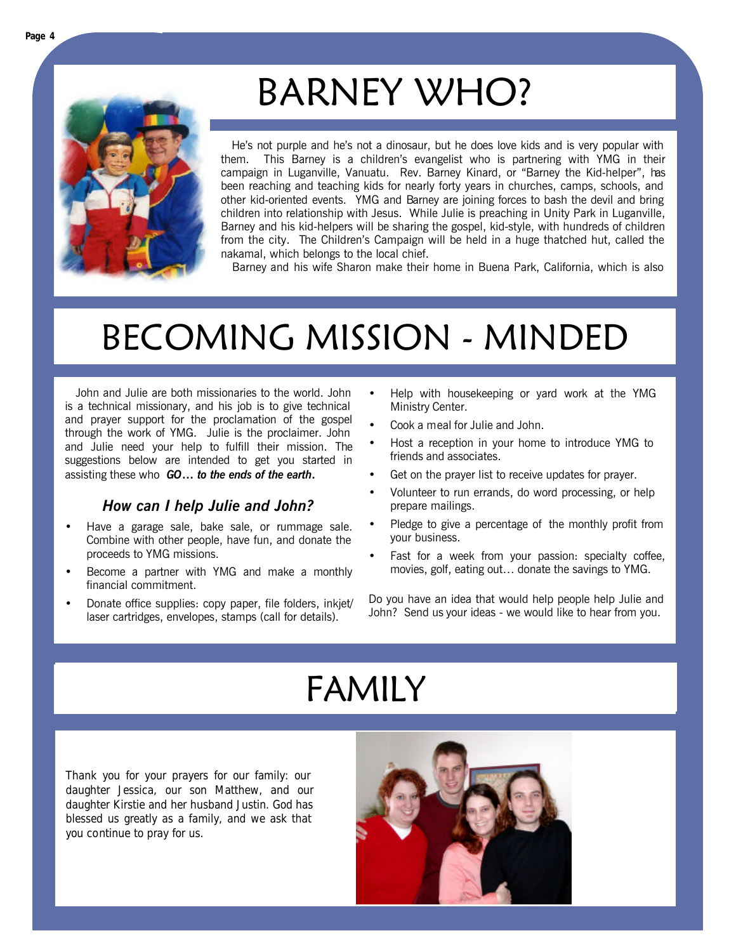# BARNEY WHO?



 He's not purple and he's not a dinosaur, but he does love kids and is very popular with them. This Barney is a children's evangelist who is partnering with YMG in their campaign in Luganville, Vanuatu. Rev. Barney Kinard, or "Barney the Kid-helper", has been reaching and teaching kids for nearly forty years in churches, camps, schools, and other kid-oriented events. YMG and Barney are joining forces to bash the devil and bring children into relationship with Jesus. While Julie is preaching in Unity Park in Luganville, Barney and his kid-helpers will be sharing the gospel, kid-style, with hundreds of children from the city. The Children's Campaign will be held in a huge thatched hut, called the nakamal, which belongs to the local chief.

Barney and his wife Sharon make their home in Buena Park, California, which is also

## BECOMING MISSION - MINDED

 John and Julie are both missionaries to the world. John is a technical missionary, and his job is to give technical and prayer support for the proclamation of the gospel through the work of YMG. Julie is the proclaimer. John and Julie need your help to fulfill their mission. The suggestions below are intended to get you started in assisting these who *GO***…** *to the ends of the earth***.**

#### *How can I help Julie and John?*

- Have a garage sale, bake sale, or rummage sale. Combine with other people, have fun, and donate the proceeds to YMG missions.
- Become a partner with YMG and make a monthly financial commitment.
- Donate office supplies: copy paper, file folders, inkjet/ laser cartridges, envelopes, stamps (call for details).
- Help with housekeeping or yard work at the YMG Ministry Center.
- Cook a meal for Julie and John.
- Host a reception in your home to introduce YMG to friends and associates.
- Get on the prayer list to receive updates for prayer.
- Volunteer to run errands, do word processing, or help prepare mailings.
- Pledge to give a percentage of the monthly profit from your business.
- Fast for a week from your passion: specialty coffee, movies, golf, eating out… donate the savings to YMG.

Do you have an idea that would help people help Julie and John? Send us your ideas - we would like to hear from you.

### FAMILY

Thank you for your prayers for our family: our daughter Jessica, our son Matthew, and our daughter Kirstie and her husband Justin. God has blessed us greatly as a family, and we ask that you continue to pray for us.